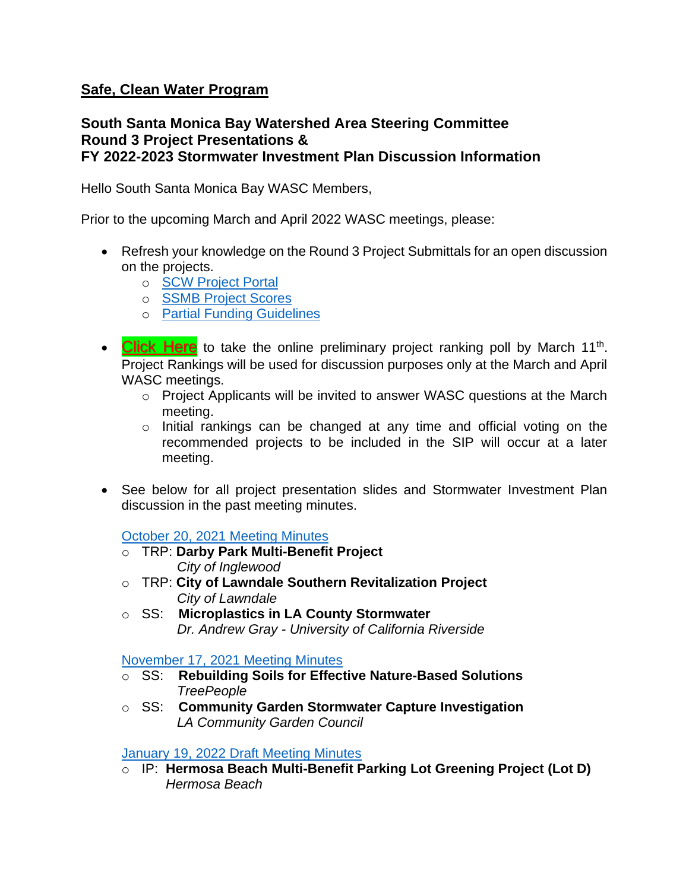## **Safe, Clean Water Program**

## **South Santa Monica Bay Watershed Area Steering Committee Round 3 Project Presentations & FY 2022-2023 Stormwater Investment Plan Discussion Information**

Hello South Santa Monica Bay WASC Members,

Prior to the upcoming March and April 2022 WASC meetings, please:

- Refresh your knowledge on the Round 3 Project Submittals for an open discussion on the projects.
	- o [SCW Project Portal](https://portal.safecleanwaterla.org/scw-reporting/map)
	- o [SSMB Project Scores](https://safecleanwaterla.org/wp-content/uploads/2022/02/SSMB-Scoring-Rubric-FY22-23.pdf)
	- o [Partial Funding Guidelines](https://safecleanwaterla.org/wp-content/uploads/2021/02/Partial-Funding-Guidelines-20210212-final.pdf)
- [Click Here](https://www.questionpro.com/t/AUypmZrD77) to take the online preliminary project ranking poll by March 11<sup>th</sup>. Project Rankings will be used for discussion purposes only at the March and April WASC meetings.
	- o Project Applicants will be invited to answer WASC questions at the March meeting.
	- o Initial rankings can be changed at any time and official voting on the recommended projects to be included in the SIP will occur at a later meeting.
- See below for all project presentation slides and Stormwater Investment Plan discussion in the past meeting minutes.

[October 20, 2021 Meeting Minutes](https://safecleanwaterla.org/wp-content/uploads/2021/11/WASC-SSMB-Meeting-Minutes-20211020_Draft.pdf)

- o TRP: **Darby Park Multi-Benefit Project**   *City of Inglewood*
- o TRP: **City of Lawndale Southern Revitalization Project**  *City of Lawndale*
- o SS: **Microplastics in LA County Stormwater**  *Dr. Andrew Gray - University of California Riverside*

[November 17, 2021 Meeting Minutes](https://safecleanwaterla.org/wp-content/uploads/2022/02/WASC-SSMB-Meeting-Minutes-20211117_Final.pdf)

- o SS: **Rebuilding Soils for Effective Nature-Based Solutions**  *TreePeople*
- o SS: **Community Garden Stormwater Capture Investigation**  *LA Community Garden Council*

[January 19, 2022 Draft Meeting Minutes](https://safecleanwaterla.org/wp-content/uploads/2022/02/WASC-SSMB-Meeting-Minutes-20220119_Final.pdf)

o IP: **Hermosa Beach Multi-Benefit Parking Lot Greening Project (Lot D)** *Hermosa Beach*